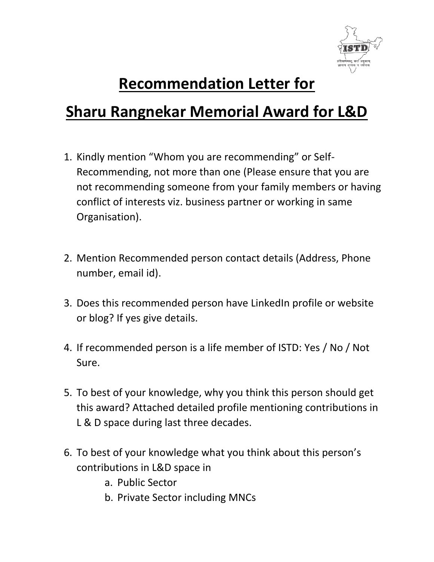

## **Recommendation Letter for**

## **Sharu Rangnekar Memorial Award for L&D**

- 1. Kindly mention "Whom you are recommending" or Self-Recommending, not more than one (Please ensure that you are not recommending someone from your family members or having conflict of interests viz. business partner or working in same Organisation).
- 2. Mention Recommended person contact details (Address, Phone number, email id).
- 3. Does this recommended person have LinkedIn profile or website or blog? If yes give details.
- 4. If recommended person is a life member of ISTD: Yes / No / Not Sure.
- 5. To best of your knowledge, why you think this person should get this award? Attached detailed profile mentioning contributions in L & D space during last three decades.
- 6. To best of your knowledge what you think about this person's contributions in L&D space in
	- a. Public Sector
	- b. Private Sector including MNCs